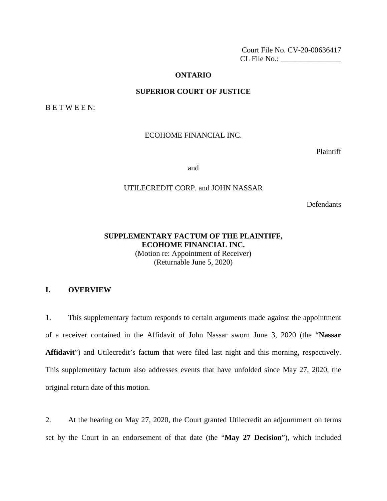Court File No. CV-20-00636417 CL File No.: \_\_\_\_\_\_\_\_\_\_\_\_\_\_\_\_

#### **ONTARIO**

### **SUPERIOR COURT OF JUSTICE**

B E T W E E N:

## ECOHOME FINANCIAL INC.

Plaintiff

and

### UTILECREDIT CORP. and JOHN NASSAR

**Defendants** 

# **SUPPLEMENTARY FACTUM OF THE PLAINTIFF, ECOHOME FINANCIAL INC.**

(Motion re: Appointment of Receiver) (Returnable June 5, 2020)

### **I. OVERVIEW**

1. This supplementary factum responds to certain arguments made against the appointment of a receiver contained in the Affidavit of John Nassar sworn June 3, 2020 (the "**Nassar Affidavit**") and Utilecredit's factum that were filed last night and this morning, respectively. This supplementary factum also addresses events that have unfolded since May 27, 2020, the original return date of this motion.

2. At the hearing on May 27, 2020, the Court granted Utilecredit an adjournment on terms set by the Court in an endorsement of that date (the "**May 27 Decision**"), which included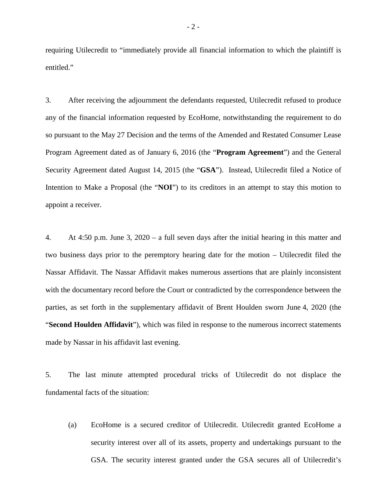requiring Utilecredit to "immediately provide all financial information to which the plaintiff is entitled."

3. After receiving the adjournment the defendants requested, Utilecredit refused to produce any of the financial information requested by EcoHome, notwithstanding the requirement to do so pursuant to the May 27 Decision and the terms of the Amended and Restated Consumer Lease Program Agreement dated as of January 6, 2016 (the "**Program Agreement**") and the General Security Agreement dated August 14, 2015 (the "**GSA**"). Instead, Utilecredit filed a Notice of Intention to Make a Proposal (the "**NOI**") to its creditors in an attempt to stay this motion to appoint a receiver.

4. At 4:50 p.m. June 3, 2020 – a full seven days after the initial hearing in this matter and two business days prior to the peremptory hearing date for the motion – Utilecredit filed the Nassar Affidavit. The Nassar Affidavit makes numerous assertions that are plainly inconsistent with the documentary record before the Court or contradicted by the correspondence between the parties, as set forth in the supplementary affidavit of Brent Houlden sworn June 4, 2020 (the "**Second Houlden Affidavit**"), which was filed in response to the numerous incorrect statements made by Nassar in his affidavit last evening.

5. The last minute attempted procedural tricks of Utilecredit do not displace the fundamental facts of the situation:

(a) EcoHome is a secured creditor of Utilecredit. Utilecredit granted EcoHome a security interest over all of its assets, property and undertakings pursuant to the GSA. The security interest granted under the GSA secures all of Utilecredit's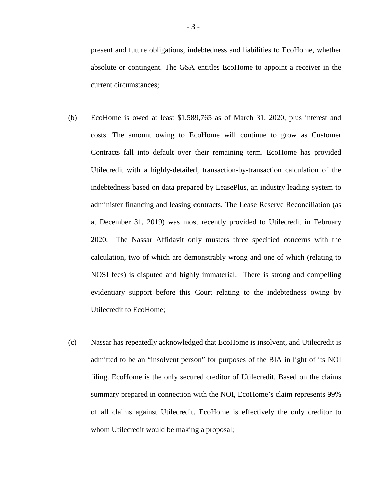present and future obligations, indebtedness and liabilities to EcoHome, whether absolute or contingent. The GSA entitles EcoHome to appoint a receiver in the current circumstances;

- (b) EcoHome is owed at least \$1,589,765 as of March 31, 2020, plus interest and costs. The amount owing to EcoHome will continue to grow as Customer Contracts fall into default over their remaining term. EcoHome has provided Utilecredit with a highly-detailed, transaction-by-transaction calculation of the indebtedness based on data prepared by LeasePlus, an industry leading system to administer financing and leasing contracts. The Lease Reserve Reconciliation (as at December 31, 2019) was most recently provided to Utilecredit in February 2020. The Nassar Affidavit only musters three specified concerns with the calculation, two of which are demonstrably wrong and one of which (relating to NOSI fees) is disputed and highly immaterial. There is strong and compelling evidentiary support before this Court relating to the indebtedness owing by Utilecredit to EcoHome;
- (c) Nassar has repeatedly acknowledged that EcoHome is insolvent, and Utilecredit is admitted to be an "insolvent person" for purposes of the BIA in light of its NOI filing. EcoHome is the only secured creditor of Utilecredit. Based on the claims summary prepared in connection with the NOI, EcoHome's claim represents 99% of all claims against Utilecredit. EcoHome is effectively the only creditor to whom Utilecredit would be making a proposal;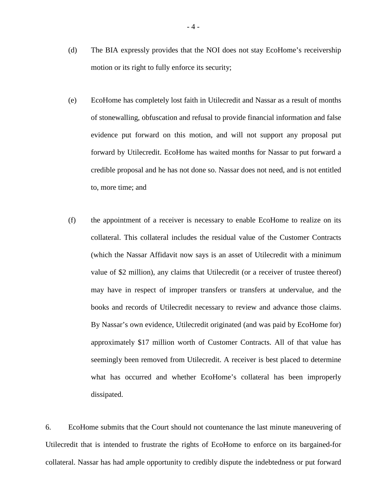- (d) The BIA expressly provides that the NOI does not stay EcoHome's receivership motion or its right to fully enforce its security;
- (e) EcoHome has completely lost faith in Utilecredit and Nassar as a result of months of stonewalling, obfuscation and refusal to provide financial information and false evidence put forward on this motion, and will not support any proposal put forward by Utilecredit. EcoHome has waited months for Nassar to put forward a credible proposal and he has not done so. Nassar does not need, and is not entitled to, more time; and
- (f) the appointment of a receiver is necessary to enable EcoHome to realize on its collateral. This collateral includes the residual value of the Customer Contracts (which the Nassar Affidavit now says is an asset of Utilecredit with a minimum value of \$2 million), any claims that Utilecredit (or a receiver of trustee thereof) may have in respect of improper transfers or transfers at undervalue, and the books and records of Utilecredit necessary to review and advance those claims. By Nassar's own evidence, Utilecredit originated (and was paid by EcoHome for) approximately \$17 million worth of Customer Contracts. All of that value has seemingly been removed from Utilecredit. A receiver is best placed to determine what has occurred and whether EcoHome's collateral has been improperly dissipated.

6. EcoHome submits that the Court should not countenance the last minute maneuvering of Utilecredit that is intended to frustrate the rights of EcoHome to enforce on its bargained-for collateral. Nassar has had ample opportunity to credibly dispute the indebtedness or put forward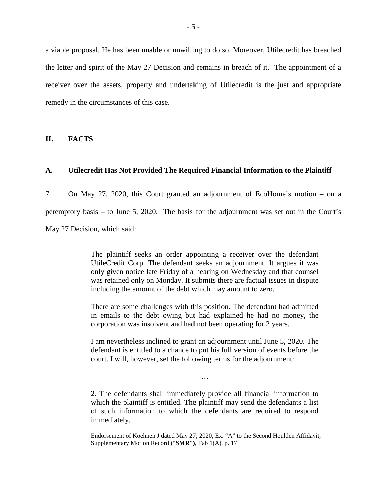a viable proposal. He has been unable or unwilling to do so. Moreover, Utilecredit has breached the letter and spirit of the May 27 Decision and remains in breach of it. The appointment of a receiver over the assets, property and undertaking of Utilecredit is the just and appropriate remedy in the circumstances of this case.

**II. FACTS**

### **A. Utilecredit Has Not Provided The Required Financial Information to the Plaintiff**

7. On May 27, 2020, this Court granted an adjournment of EcoHome's motion – on a peremptory basis – to June 5, 2020. The basis for the adjournment was set out in the Court's May 27 Decision, which said:

> The plaintiff seeks an order appointing a receiver over the defendant UtileCredit Corp. The defendant seeks an adjournment. It argues it was only given notice late Friday of a hearing on Wednesday and that counsel was retained only on Monday. It submits there are factual issues in dispute including the amount of the debt which may amount to zero.

> There are some challenges with this position. The defendant had admitted in emails to the debt owing but had explained he had no money, the corporation was insolvent and had not been operating for 2 years.

> I am nevertheless inclined to grant an adjournment until June 5, 2020. The defendant is entitled to a chance to put his full version of events before the court. I will, however, set the following terms for the adjournment:

> > …

2. The defendants shall immediately provide all financial information to which the plaintiff is entitled. The plaintiff may send the defendants a list of such information to which the defendants are required to respond immediately.

Endorsement of Koehnen J dated May 27, 2020, Ex. "A" to the Second Houlden Affidavit, Supplementary Motion Record ("**SMR**"), Tab 1(A), p. 17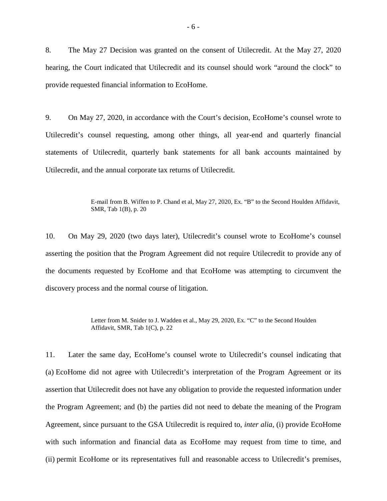8. The May 27 Decision was granted on the consent of Utilecredit. At the May 27, 2020 hearing, the Court indicated that Utilecredit and its counsel should work "around the clock" to provide requested financial information to EcoHome.

9. On May 27, 2020, in accordance with the Court's decision, EcoHome's counsel wrote to Utilecredit's counsel requesting, among other things, all year-end and quarterly financial statements of Utilecredit, quarterly bank statements for all bank accounts maintained by Utilecredit, and the annual corporate tax returns of Utilecredit.

> E-mail from B. Wiffen to P. Chand et al, May 27, 2020, Ex. "B" to the Second Houlden Affidavit, SMR, Tab 1(B), p. 20

10. On May 29, 2020 (two days later), Utilecredit's counsel wrote to EcoHome's counsel asserting the position that the Program Agreement did not require Utilecredit to provide any of the documents requested by EcoHome and that EcoHome was attempting to circumvent the discovery process and the normal course of litigation.

> Letter from M. Snider to J. Wadden et al., May 29, 2020, Ex. "C" to the Second Houlden Affidavit, SMR, Tab 1(C), p. 22

11. Later the same day, EcoHome's counsel wrote to Utilecredit's counsel indicating that (a) EcoHome did not agree with Utilecredit's interpretation of the Program Agreement or its assertion that Utilecredit does not have any obligation to provide the requested information under the Program Agreement; and (b) the parties did not need to debate the meaning of the Program Agreement, since pursuant to the GSA Utilecredit is required to, *inter alia*, (i) provide EcoHome with such information and financial data as EcoHome may request from time to time, and (ii) permit EcoHome or its representatives full and reasonable access to Utilecredit's premises,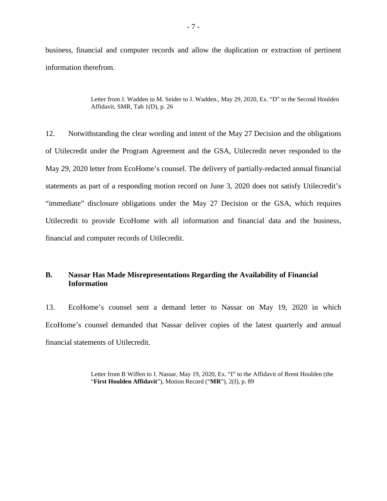business, financial and computer records and allow the duplication or extraction of pertinent information therefrom.

> Letter from J. Wadden to M. Snider to J. Wadden., May 29, 2020, Ex. "D" to the Second Houlden Affidavit, SMR, Tab 1(D), p. 26

12. Notwithstanding the clear wording and intent of the May 27 Decision and the obligations of Utilecredit under the Program Agreement and the GSA, Utilecredit never responded to the May 29, 2020 letter from EcoHome's counsel. The delivery of partially-redacted annual financial statements as part of a responding motion record on June 3, 2020 does not satisfy Utilecredit's "immediate" disclosure obligations under the May 27 Decision or the GSA, which requires Utilecredit to provide EcoHome with all information and financial data and the business, financial and computer records of Utilecredit.

# **B. Nassar Has Made Misrepresentations Regarding the Availability of Financial Information**

13. EcoHome's counsel sent a demand letter to Nassar on May 19, 2020 in which EcoHome's counsel demanded that Nassar deliver copies of the latest quarterly and annual financial statements of Utilecredit.

> Letter from B Wiffen to J. Nassar, May 19, 2020, Ex. "I" to the Affidavit of Brent Houlden (the "**First Houlden Affidavit**"), Motion Record ("**MR**"), 2(I), p. 89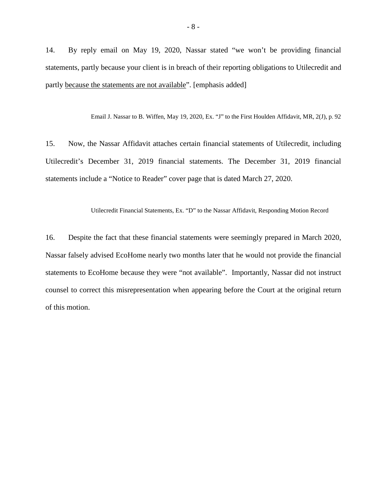14. By reply email on May 19, 2020, Nassar stated "we won't be providing financial statements, partly because your client is in breach of their reporting obligations to Utilecredit and partly because the statements are not available". [emphasis added]

Email J. Nassar to B. Wiffen, May 19, 2020, Ex. "J" to the First Houlden Affidavit, MR, 2(J), p. 92

15. Now, the Nassar Affidavit attaches certain financial statements of Utilecredit, including Utilecredit's December 31, 2019 financial statements. The December 31, 2019 financial statements include a "Notice to Reader" cover page that is dated March 27, 2020.

Utilecredit Financial Statements, Ex. "D" to the Nassar Affidavit, Responding Motion Record

16. Despite the fact that these financial statements were seemingly prepared in March 2020, Nassar falsely advised EcoHome nearly two months later that he would not provide the financial statements to EcoHome because they were "not available". Importantly, Nassar did not instruct counsel to correct this misrepresentation when appearing before the Court at the original return of this motion.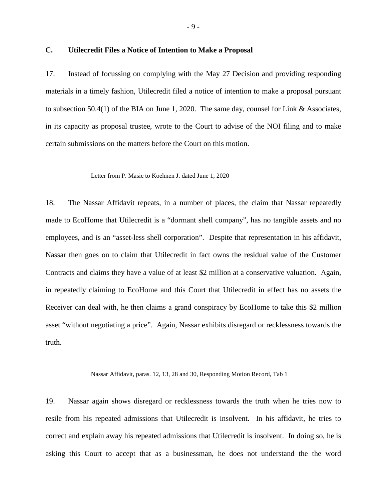17. Instead of focussing on complying with the May 27 Decision and providing responding materials in a timely fashion, Utilecredit filed a notice of intention to make a proposal pursuant to subsection 50.4(1) of the BIA on June 1, 2020. The same day, counsel for Link & Associates, in its capacity as proposal trustee, wrote to the Court to advise of the NOI filing and to make certain submissions on the matters before the Court on this motion.

#### Letter from P. Masic to Koehnen J. dated June 1, 2020

18. The Nassar Affidavit repeats, in a number of places, the claim that Nassar repeatedly made to EcoHome that Utilecredit is a "dormant shell company", has no tangible assets and no employees, and is an "asset-less shell corporation". Despite that representation in his affidavit, Nassar then goes on to claim that Utilecredit in fact owns the residual value of the Customer Contracts and claims they have a value of at least \$2 million at a conservative valuation. Again, in repeatedly claiming to EcoHome and this Court that Utilecredit in effect has no assets the Receiver can deal with, he then claims a grand conspiracy by EcoHome to take this \$2 million asset "without negotiating a price". Again, Nassar exhibits disregard or recklessness towards the truth.

Nassar Affidavit, paras. 12, 13, 28 and 30, Responding Motion Record, Tab 1

19. Nassar again shows disregard or recklessness towards the truth when he tries now to resile from his repeated admissions that Utilecredit is insolvent. In his affidavit, he tries to correct and explain away his repeated admissions that Utilecredit is insolvent. In doing so, he is asking this Court to accept that as a businessman, he does not understand the the word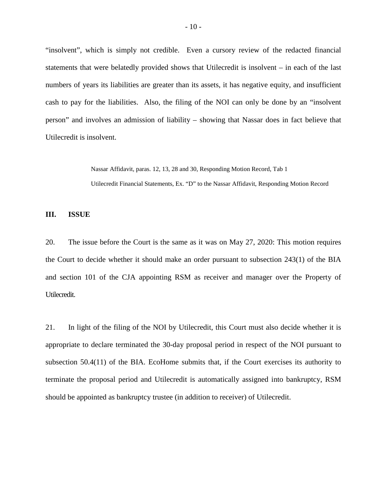"insolvent", which is simply not credible. Even a cursory review of the redacted financial statements that were belatedly provided shows that Utilecredit is insolvent – in each of the last numbers of years its liabilities are greater than its assets, it has negative equity, and insufficient cash to pay for the liabilities. Also, the filing of the NOI can only be done by an "insolvent person" and involves an admission of liability – showing that Nassar does in fact believe that Utilecredit is insolvent.

> Nassar Affidavit, paras. 12, 13, 28 and 30, Responding Motion Record, Tab 1 Utilecredit Financial Statements, Ex. "D" to the Nassar Affidavit, Responding Motion Record

#### **III. ISSUE**

20. The issue before the Court is the same as it was on May 27, 2020: This motion requires the Court to decide whether it should make an order pursuant to subsection 243(1) of the BIA and section 101 of the CJA appointing RSM as receiver and manager over the Property of Utilecredit.

21. In light of the filing of the NOI by Utilecredit, this Court must also decide whether it is appropriate to declare terminated the 30-day proposal period in respect of the NOI pursuant to subsection 50.4(11) of the BIA. EcoHome submits that, if the Court exercises its authority to terminate the proposal period and Utilecredit is automatically assigned into bankruptcy, RSM should be appointed as bankruptcy trustee (in addition to receiver) of Utilecredit.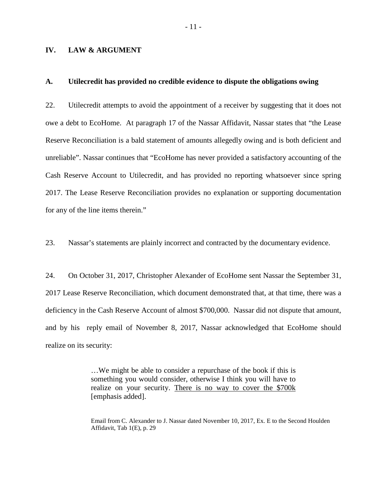### **IV. LAW & ARGUMENT**

#### **A. Utilecredit has provided no credible evidence to dispute the obligations owing**

22. Utilecredit attempts to avoid the appointment of a receiver by suggesting that it does not owe a debt to EcoHome. At paragraph 17 of the Nassar Affidavit, Nassar states that "the Lease Reserve Reconciliation is a bald statement of amounts allegedly owing and is both deficient and unreliable". Nassar continues that "EcoHome has never provided a satisfactory accounting of the Cash Reserve Account to Utilecredit, and has provided no reporting whatsoever since spring 2017. The Lease Reserve Reconciliation provides no explanation or supporting documentation for any of the line items therein."

23. Nassar's statements are plainly incorrect and contracted by the documentary evidence.

24. On October 31, 2017, Christopher Alexander of EcoHome sent Nassar the September 31, 2017 Lease Reserve Reconciliation, which document demonstrated that, at that time, there was a deficiency in the Cash Reserve Account of almost \$700,000. Nassar did not dispute that amount, and by his reply email of November 8, 2017, Nassar acknowledged that EcoHome should realize on its security:

> …We might be able to consider a repurchase of the book if this is something you would consider, otherwise I think you will have to realize on your security. There is no way to cover the \$700k [emphasis added].

Email from C. Alexander to J. Nassar dated November 10, 2017, Ex. E to the Second Houlden Affidavit, Tab 1(E), p. 29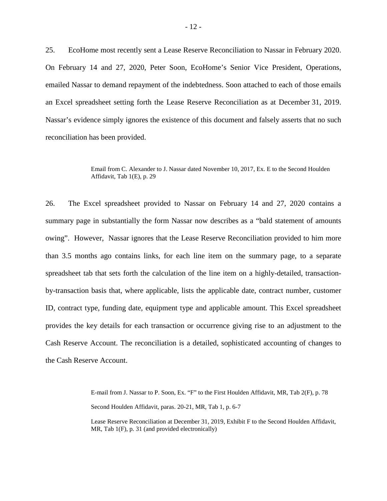25. EcoHome most recently sent a Lease Reserve Reconciliation to Nassar in February 2020. On February 14 and 27, 2020, Peter Soon, EcoHome's Senior Vice President, Operations, emailed Nassar to demand repayment of the indebtedness. Soon attached to each of those emails an Excel spreadsheet setting forth the Lease Reserve Reconciliation as at December 31, 2019. Nassar's evidence simply ignores the existence of this document and falsely asserts that no such reconciliation has been provided.

> Email from C. Alexander to J. Nassar dated November 10, 2017, Ex. E to the Second Houlden Affidavit, Tab 1(E), p. 29

26. The Excel spreadsheet provided to Nassar on February 14 and 27, 2020 contains a summary page in substantially the form Nassar now describes as a "bald statement of amounts owing". However, Nassar ignores that the Lease Reserve Reconciliation provided to him more than 3.5 months ago contains links, for each line item on the summary page, to a separate spreadsheet tab that sets forth the calculation of the line item on a highly-detailed, transactionby-transaction basis that, where applicable, lists the applicable date, contract number, customer ID, contract type, funding date, equipment type and applicable amount. This Excel spreadsheet provides the key details for each transaction or occurrence giving rise to an adjustment to the Cash Reserve Account. The reconciliation is a detailed, sophisticated accounting of changes to the Cash Reserve Account.

E-mail from J. Nassar to P. Soon, Ex. "F" to the First Houlden Affidavit, MR, Tab 2(F), p. 78

Second Houlden Affidavit, paras. 20-21, MR, Tab 1, p. 6-7

Lease Reserve Reconciliation at December 31, 2019, Exhibit F to the Second Houlden Affidavit, MR, Tab 1(F), p. 31 (and provided electronically)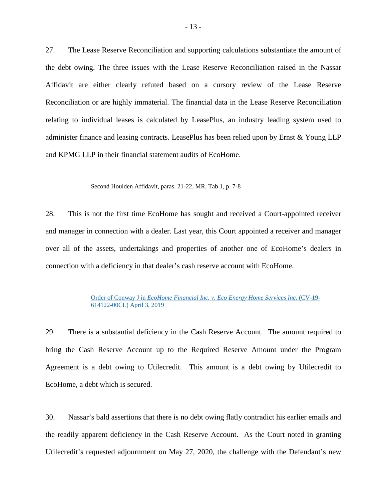27. The Lease Reserve Reconciliation and supporting calculations substantiate the amount of the debt owing. The three issues with the Lease Reserve Reconciliation raised in the Nassar Affidavit are either clearly refuted based on a cursory review of the Lease Reserve Reconciliation or are highly immaterial. The financial data in the Lease Reserve Reconciliation relating to individual leases is calculated by LeasePlus, an industry leading system used to administer finance and leasing contracts. LeasePlus has been relied upon by Ernst & Young LLP and KPMG LLP in their financial statement audits of EcoHome.

#### Second Houlden Affidavit, paras. 21-22, MR, Tab 1, p. 7-8

28. This is not the first time EcoHome has sought and received a Court-appointed receiver and manager in connection with a dealer. Last year, this Court appointed a receiver and manager over all of the assets, undertakings and properties of another one of EcoHome's dealers in connection with a deficiency in that dealer's cash reserve account with EcoHome.

#### Order of Conway J in *[EcoHome Financial Inc. v. Eco Energy Home Services Inc.](https://rsmcanada.com/content/dam/mcgladrey/en_CA/pdf_download/eco-energy-home-services-inc/receivership-order-of-the-honourable-madam-justice-conway-made-april-3-2019.pdf)* (CV-19- [614122-00CL\) April 3, 2019](https://rsmcanada.com/content/dam/mcgladrey/en_CA/pdf_download/eco-energy-home-services-inc/receivership-order-of-the-honourable-madam-justice-conway-made-april-3-2019.pdf)

29. There is a substantial deficiency in the Cash Reserve Account. The amount required to bring the Cash Reserve Account up to the Required Reserve Amount under the Program Agreement is a debt owing to Utilecredit. This amount is a debt owing by Utilecredit to EcoHome, a debt which is secured.

30. Nassar's bald assertions that there is no debt owing flatly contradict his earlier emails and the readily apparent deficiency in the Cash Reserve Account. As the Court noted in granting Utilecredit's requested adjournment on May 27, 2020, the challenge with the Defendant's new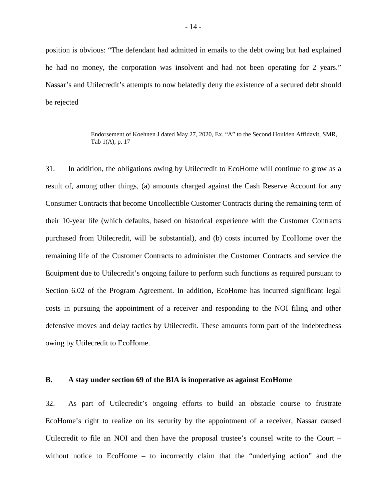position is obvious: "The defendant had admitted in emails to the debt owing but had explained he had no money, the corporation was insolvent and had not been operating for 2 years." Nassar's and Utilecredit's attempts to now belatedly deny the existence of a secured debt should be rejected

> Endorsement of Koehnen J dated May 27, 2020, Ex. "A" to the Second Houlden Affidavit, SMR, Tab 1(A), p. 17

31. In addition, the obligations owing by Utilecredit to EcoHome will continue to grow as a result of, among other things, (a) amounts charged against the Cash Reserve Account for any Consumer Contracts that become Uncollectible Customer Contracts during the remaining term of their 10-year life (which defaults, based on historical experience with the Customer Contracts purchased from Utilecredit, will be substantial), and (b) costs incurred by EcoHome over the remaining life of the Customer Contracts to administer the Customer Contracts and service the Equipment due to Utilecredit's ongoing failure to perform such functions as required pursuant to Section 6.02 of the Program Agreement. In addition, EcoHome has incurred significant legal costs in pursuing the appointment of a receiver and responding to the NOI filing and other defensive moves and delay tactics by Utilecredit. These amounts form part of the indebtedness owing by Utilecredit to EcoHome.

#### **B. A stay under section 69 of the BIA is inoperative as against EcoHome**

32. As part of Utilecredit's ongoing efforts to build an obstacle course to frustrate EcoHome's right to realize on its security by the appointment of a receiver, Nassar caused Utilecredit to file an NOI and then have the proposal trustee's counsel write to the Court – without notice to EcoHome – to incorrectly claim that the "underlying action" and the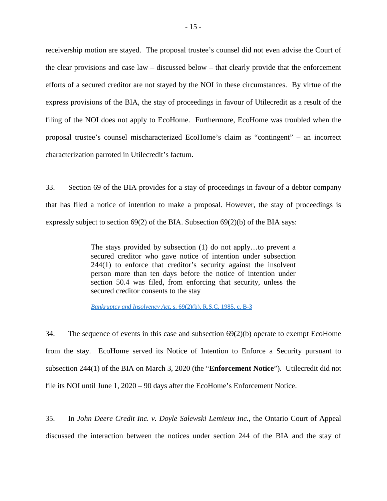receivership motion are stayed. The proposal trustee's counsel did not even advise the Court of the clear provisions and case law – discussed below – that clearly provide that the enforcement efforts of a secured creditor are not stayed by the NOI in these circumstances. By virtue of the express provisions of the BIA, the stay of proceedings in favour of Utilecredit as a result of the filing of the NOI does not apply to EcoHome. Furthermore, EcoHome was troubled when the proposal trustee's counsel mischaracterized EcoHome's claim as "contingent" – an incorrect characterization parroted in Utilecredit's factum.

33. Section 69 of the BIA provides for a stay of proceedings in favour of a debtor company that has filed a notice of intention to make a proposal. However, the stay of proceedings is expressly subject to section 69(2) of the BIA. Subsection 69(2)(b) of the BIA says:

> The stays provided by subsection (1) do not apply…to prevent a secured creditor who gave notice of intention under subsection 244(1) to enforce that creditor's security against the insolvent person more than ten days before the notice of intention under section 50.4 was filed, from enforcing that security, unless the secured creditor consents to the stay

*Bankruptcy and Insolvency Act*[, s. 69\(2\)\(b\), R.S.C. 1985, c. B-3](https://laws-lois.justice.gc.ca/eng/acts/b-3/page-25.html#h-26356)

34. The sequence of events in this case and subsection 69(2)(b) operate to exempt EcoHome from the stay. EcoHome served its Notice of Intention to Enforce a Security pursuant to subsection 244(1) of the BIA on March 3, 2020 (the "**Enforcement Notice**"). Utilecredit did not file its NOI until June 1, 2020 – 90 days after the EcoHome's Enforcement Notice.

35. In *John Deere Credit Inc. v. Doyle Salewski Lemieux Inc.*, the Ontario Court of Appeal discussed the interaction between the notices under section 244 of the BIA and the stay of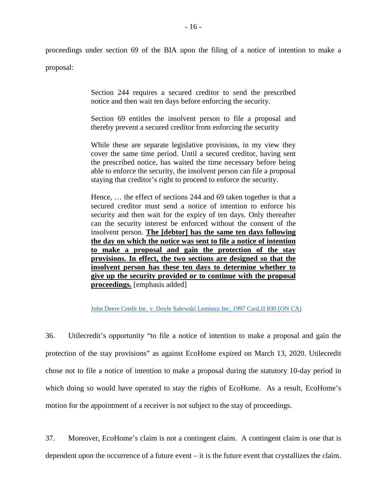proceedings under section 69 of the BIA upon the filing of a notice of intention to make a

proposal:

Section 244 requires a secured creditor to send the prescribed notice and then wait ten days before enforcing the security.

Section 69 entitles the insolvent person to file a proposal and thereby prevent a secured creditor from enforcing the security

While these are separate legislative provisions, in my view they cover the same time period. Until a secured creditor, having sent the prescribed notice, has waited the time necessary before being able to enforce the security, the insolvent person can file a proposal staying that creditor's right to proceed to enforce the security.

Hence, … the effect of sections 244 and 69 taken together is that a secured creditor must send a notice of intention to enforce his security and then wait for the expiry of ten days. Only thereafter can the security interest be enforced without the consent of the insolvent person. **The [debtor] has the same ten days following the day on which the notice was sent to file a notice of intention to make a proposal and gain the protection of the stay provisions. In effect, the two sections are designed so that the insolvent person has these ten days to determine whether to give up the security provided or to continue with the proposal proceedings.** [emphasis added]

[John Deere Credit Inc. v. Doyle Salewski Lemieux Inc, 1997 CanLII 830 \(ON CA\)](https://www.canlii.org/en/on/onca/doc/1997/1997canlii830/1997canlii830.html)

36. Utilecredit's opportunity "to file a notice of intention to make a proposal and gain the protection of the stay provisions" as against EcoHome expired on March 13, 2020. Utilecredit chose not to file a notice of intention to make a proposal during the statutory 10-day period in which doing so would have operated to stay the rights of EcoHome. As a result, EcoHome's motion for the appointment of a receiver is not subject to the stay of proceedings.

37. Moreover, EcoHome's claim is not a contingent claim. A contingent claim is one that is dependent upon the occurrence of a future event – it is the future event that crystallizes the claim.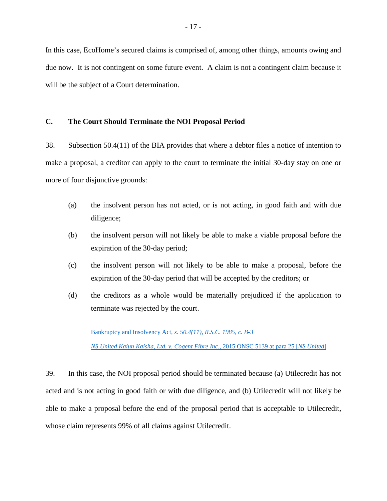In this case, EcoHome's secured claims is comprised of, among other things, amounts owing and due now. It is not contingent on some future event. A claim is not a contingent claim because it will be the subject of a Court determination.

#### **C. The Court Should Terminate the NOI Proposal Period**

38. Subsection 50.4(11) of the BIA provides that where a debtor files a notice of intention to make a proposal, a creditor can apply to the court to terminate the initial 30-day stay on one or more of four disjunctive grounds:

- (a) the insolvent person has not acted, or is not acting, in good faith and with due diligence;
- (b) the insolvent person will not likely be able to make a viable proposal before the expiration of the 30-day period;
- (c) the insolvent person will not likely to be able to make a proposal, before the expiration of the 30-day period that will be accepted by the creditors; or
- (d) the creditors as a whole would be materially prejudiced if the application to terminate was rejected by the court.

Bankruptcy and Insolvency Act*[, s. 50.4\(11\), R.S.C. 1985, c. B-3](https://laws-lois.justice.gc.ca/eng/acts/b-3/page-13.html) [NS United Kaiun Kaisha, Ltd. v. Cogent Fibre Inc.](https://www.canlii.org/en/on/onsc/doc/2015/2015onsc5139/2015onsc5139.html)*, 2015 ONSC 5139 at para 25 [*NS United*]

39. In this case, the NOI proposal period should be terminated because (a) Utilecredit has not acted and is not acting in good faith or with due diligence, and (b) Utilecredit will not likely be able to make a proposal before the end of the proposal period that is acceptable to Utilecredit, whose claim represents 99% of all claims against Utilecredit.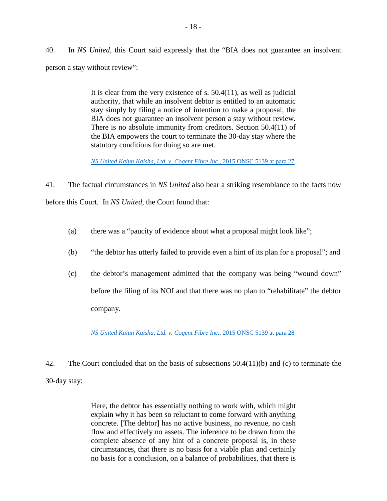40. In *NS United*, this Court said expressly that the "BIA does not guarantee an insolvent person a stay without review":

> It is clear from the very existence of s. 50.4(11), as well as judicial authority, that while an insolvent debtor is entitled to an automatic stay simply by filing a notice of intention to make a proposal, the BIA does not guarantee an insolvent person a stay without review. There is no absolute immunity from creditors. Section 50.4(11) of the BIA empowers the court to terminate the 30-day stay where the statutory conditions for doing so are met.

*[NS United Kaiun Kaisha, Ltd. v. Cogent Fibre Inc.](https://www.canlii.org/en/on/onsc/doc/2015/2015onsc5139/2015onsc5139.html)*, 2015 ONSC 5139 at para 27

41. The factual circumstances in *NS United* also bear a striking resemblance to the facts now before this Court. In *NS United*, the Court found that:

- (a) there was a "paucity of evidence about what a proposal might look like";
- (b) "the debtor has utterly failed to provide even a hint of its plan for a proposal"; and
- (c) the debtor's management admitted that the company was being "wound down" before the filing of its NOI and that there was no plan to "rehabilitate" the debtor company.

*[NS United Kaiun Kaisha, Ltd. v. Cogent Fibre Inc.](https://www.canlii.org/en/on/onsc/doc/2015/2015onsc5139/2015onsc5139.html)*, 2015 ONSC 5139 at para 28

42. The Court concluded that on the basis of subsections 50.4(11)(b) and (c) to terminate the

30-day stay:

Here, the debtor has essentially nothing to work with, which might explain why it has been so reluctant to come forward with anything concrete. [The debtor] has no active business, no revenue, no cash flow and effectively no assets. The inference to be drawn from the complete absence of any hint of a concrete proposal is, in these circumstances, that there is no basis for a viable plan and certainly no basis for a conclusion, on a balance of probabilities, that there is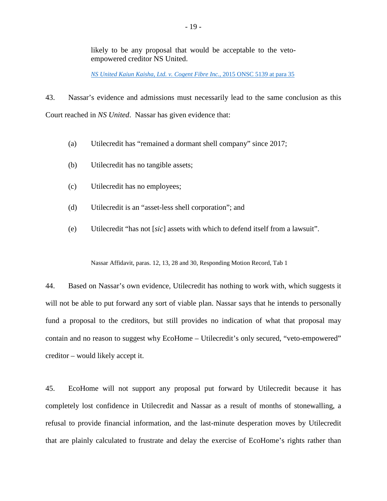likely to be any proposal that would be acceptable to the vetoempowered creditor NS United.

*[NS United Kaiun Kaisha, Ltd. v. Cogent Fibre Inc.](https://www.canlii.org/en/on/onsc/doc/2015/2015onsc5139/2015onsc5139.html)*, 2015 ONSC 5139 at para 35

43. Nassar's evidence and admissions must necessarily lead to the same conclusion as this Court reached in *NS United*. Nassar has given evidence that:

- (a) Utilecredit has "remained a dormant shell company" since 2017;
- (b) Utilecredit has no tangible assets;
- (c) Utilecredit has no employees;
- (d) Utilecredit is an "asset-less shell corporation"; and
- (e) Utilecredit "has not [*sic*] assets with which to defend itself from a lawsuit".

Nassar Affidavit, paras. 12, 13, 28 and 30, Responding Motion Record, Tab 1

44. Based on Nassar's own evidence, Utilecredit has nothing to work with, which suggests it will not be able to put forward any sort of viable plan. Nassar says that he intends to personally fund a proposal to the creditors, but still provides no indication of what that proposal may contain and no reason to suggest why EcoHome – Utilecredit's only secured, "veto-empowered" creditor – would likely accept it.

45. EcoHome will not support any proposal put forward by Utilecredit because it has completely lost confidence in Utilecredit and Nassar as a result of months of stonewalling, a refusal to provide financial information, and the last-minute desperation moves by Utilecredit that are plainly calculated to frustrate and delay the exercise of EcoHome's rights rather than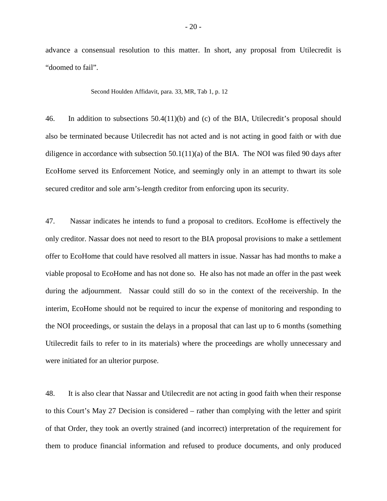advance a consensual resolution to this matter. In short, any proposal from Utilecredit is "doomed to fail".

Second Houlden Affidavit, para. 33, MR, Tab 1, p. 12

46. In addition to subsections 50.4(11)(b) and (c) of the BIA, Utilecredit's proposal should also be terminated because Utilecredit has not acted and is not acting in good faith or with due diligence in accordance with subsection  $50.1(11)(a)$  of the BIA. The NOI was filed 90 days after EcoHome served its Enforcement Notice, and seemingly only in an attempt to thwart its sole secured creditor and sole arm's-length creditor from enforcing upon its security.

47. Nassar indicates he intends to fund a proposal to creditors. EcoHome is effectively the only creditor. Nassar does not need to resort to the BIA proposal provisions to make a settlement offer to EcoHome that could have resolved all matters in issue. Nassar has had months to make a viable proposal to EcoHome and has not done so. He also has not made an offer in the past week during the adjournment. Nassar could still do so in the context of the receivership. In the interim, EcoHome should not be required to incur the expense of monitoring and responding to the NOI proceedings, or sustain the delays in a proposal that can last up to 6 months (something Utilecredit fails to refer to in its materials) where the proceedings are wholly unnecessary and were initiated for an ulterior purpose.

48. It is also clear that Nassar and Utilecredit are not acting in good faith when their response to this Court's May 27 Decision is considered – rather than complying with the letter and spirit of that Order, they took an overtly strained (and incorrect) interpretation of the requirement for them to produce financial information and refused to produce documents, and only produced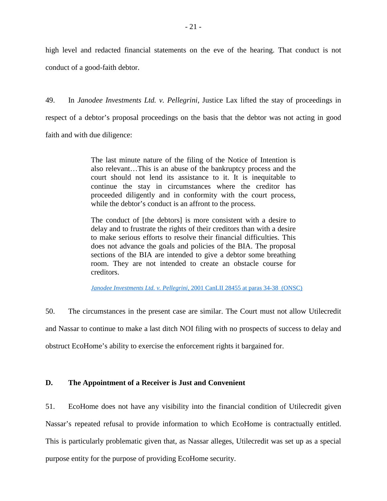high level and redacted financial statements on the eve of the hearing. That conduct is not conduct of a good-faith debtor.

49. In *Janodee Investments Ltd. v. Pellegrini*, Justice Lax lifted the stay of proceedings in respect of a debtor's proposal proceedings on the basis that the debtor was not acting in good faith and with due diligence:

> The last minute nature of the filing of the Notice of Intention is also relevant…This is an abuse of the bankruptcy process and the court should not lend its assistance to it. It is inequitable to continue the stay in circumstances where the creditor has proceeded diligently and in conformity with the court process, while the debtor's conduct is an affront to the process.

> The conduct of [the debtors] is more consistent with a desire to delay and to frustrate the rights of their creditors than with a desire to make serious efforts to resolve their financial difficulties. This does not advance the goals and policies of the BIA. The proposal sections of the BIA are intended to give a debtor some breathing room. They are not intended to create an obstacle course for creditors.

*[Janodee Investments Ltd. v. Pellegrini](https://www.canlii.org/en/on/onsc/doc/2001/2001canlii28455/2001canlii28455.html)*, 2001 CanLII 28455 at paras 34-38 (ONSC)

50. The circumstances in the present case are similar. The Court must not allow Utilecredit and Nassar to continue to make a last ditch NOI filing with no prospects of success to delay and obstruct EcoHome's ability to exercise the enforcement rights it bargained for.

## **D. The Appointment of a Receiver is Just and Convenient**

51. EcoHome does not have any visibility into the financial condition of Utilecredit given Nassar's repeated refusal to provide information to which EcoHome is contractually entitled. This is particularly problematic given that, as Nassar alleges, Utilecredit was set up as a special purpose entity for the purpose of providing EcoHome security.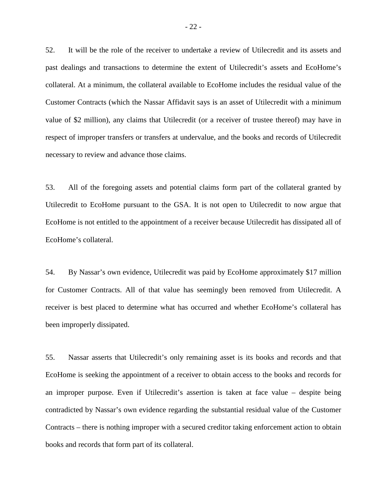52. It will be the role of the receiver to undertake a review of Utilecredit and its assets and past dealings and transactions to determine the extent of Utilecredit's assets and EcoHome's collateral. At a minimum, the collateral available to EcoHome includes the residual value of the Customer Contracts (which the Nassar Affidavit says is an asset of Utilecredit with a minimum value of \$2 million), any claims that Utilecredit (or a receiver of trustee thereof) may have in respect of improper transfers or transfers at undervalue, and the books and records of Utilecredit necessary to review and advance those claims.

53. All of the foregoing assets and potential claims form part of the collateral granted by Utilecredit to EcoHome pursuant to the GSA. It is not open to Utilecredit to now argue that EcoHome is not entitled to the appointment of a receiver because Utilecredit has dissipated all of EcoHome's collateral.

54. By Nassar's own evidence, Utilecredit was paid by EcoHome approximately \$17 million for Customer Contracts. All of that value has seemingly been removed from Utilecredit. A receiver is best placed to determine what has occurred and whether EcoHome's collateral has been improperly dissipated.

55. Nassar asserts that Utilecredit's only remaining asset is its books and records and that EcoHome is seeking the appointment of a receiver to obtain access to the books and records for an improper purpose. Even if Utilecredit's assertion is taken at face value – despite being contradicted by Nassar's own evidence regarding the substantial residual value of the Customer Contracts – there is nothing improper with a secured creditor taking enforcement action to obtain books and records that form part of its collateral.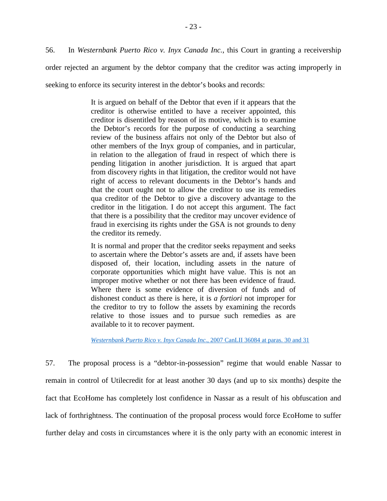56. In *Westernbank Puerto Rico v. Inyx Canada Inc.*, this Court in granting a receivership

order rejected an argument by the debtor company that the creditor was acting improperly in

seeking to enforce its security interest in the debtor's books and records:

It is argued on behalf of the Debtor that even if it appears that the creditor is otherwise entitled to have a receiver appointed, this creditor is disentitled by reason of its motive, which is to examine the Debtor's records for the purpose of conducting a searching review of the business affairs not only of the Debtor but also of other members of the Inyx group of companies, and in particular, in relation to the allegation of fraud in respect of which there is pending litigation in another jurisdiction. It is argued that apart from discovery rights in that litigation, the creditor would not have right of access to relevant documents in the Debtor's hands and that the court ought not to allow the creditor to use its remedies qua creditor of the Debtor to give a discovery advantage to the creditor in the litigation. I do not accept this argument. The fact that there is a possibility that the creditor may uncover evidence of fraud in exercising its rights under the GSA is not grounds to deny the creditor its remedy.

It is normal and proper that the creditor seeks repayment and seeks to ascertain where the Debtor's assets are and, if assets have been disposed of, their location, including assets in the nature of corporate opportunities which might have value. This is not an improper motive whether or not there has been evidence of fraud. Where there is some evidence of diversion of funds and of dishonest conduct as there is here, it is *a fortiori* not improper for the creditor to try to follow the assets by examining the records relative to those issues and to pursue such remedies as are available to it to recover payment.

*[Westernbank Puerto Rico v. Inyx Canada Inc.](https://www.canlii.org/en/on/onsc/doc/2007/2007canlii36084/2007canlii36084.html)*, 2007 CanLII 36084 at paras. 30 and 31

57. The proposal process is a "debtor-in-possession" regime that would enable Nassar to remain in control of Utilecredit for at least another 30 days (and up to six months) despite the fact that EcoHome has completely lost confidence in Nassar as a result of his obfuscation and lack of forthrightness. The continuation of the proposal process would force EcoHome to suffer further delay and costs in circumstances where it is the only party with an economic interest in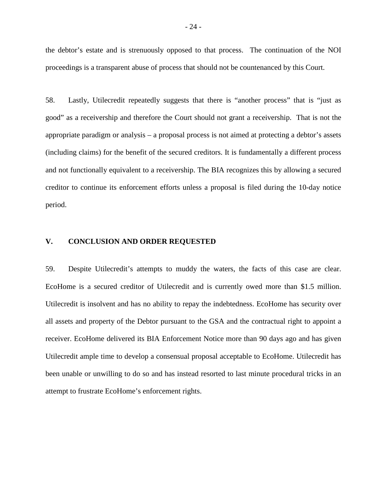the debtor's estate and is strenuously opposed to that process. The continuation of the NOI proceedings is a transparent abuse of process that should not be countenanced by this Court.

58. Lastly, Utilecredit repeatedly suggests that there is "another process" that is "just as good" as a receivership and therefore the Court should not grant a receivership. That is not the appropriate paradigm or analysis – a proposal process is not aimed at protecting a debtor's assets (including claims) for the benefit of the secured creditors. It is fundamentally a different process and not functionally equivalent to a receivership. The BIA recognizes this by allowing a secured creditor to continue its enforcement efforts unless a proposal is filed during the 10-day notice period.

### **V. CONCLUSION AND ORDER REQUESTED**

59. Despite Utilecredit's attempts to muddy the waters, the facts of this case are clear. EcoHome is a secured creditor of Utilecredit and is currently owed more than \$1.5 million. Utilecredit is insolvent and has no ability to repay the indebtedness. EcoHome has security over all assets and property of the Debtor pursuant to the GSA and the contractual right to appoint a receiver. EcoHome delivered its BIA Enforcement Notice more than 90 days ago and has given Utilecredit ample time to develop a consensual proposal acceptable to EcoHome. Utilecredit has been unable or unwilling to do so and has instead resorted to last minute procedural tricks in an attempt to frustrate EcoHome's enforcement rights.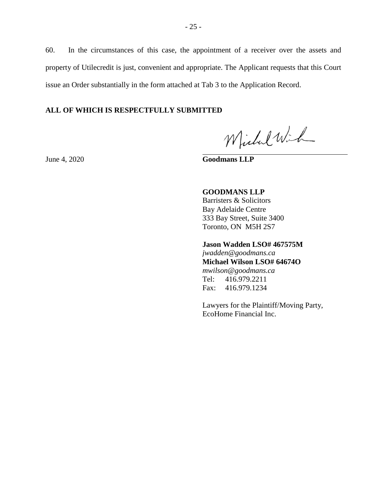60. In the circumstances of this case, the appointment of a receiver over the assets and property of Utilecredit is just, convenient and appropriate. The Applicant requests that this Court issue an Order substantially in the form attached at Tab 3 to the Application Record.

### **ALL OF WHICH IS RESPECTFULLY SUBMITTED**

Michel Wich

June 4, 2020 **Goodmans LLP**

## **GOODMANS LLP**

Barristers & Solicitors Bay Adelaide Centre 333 Bay Street, Suite 3400 Toronto, ON M5H 2S7

# **Jason Wadden LSO# 467575M**

*jwadden@goodmans.ca*  **Michael Wilson LSO# 64674O**  *mwilson@goodmans.ca* Tel: 416.979.2211 Fax: 416.979.1234

Lawyers for the Plaintiff/Moving Party, EcoHome Financial Inc.